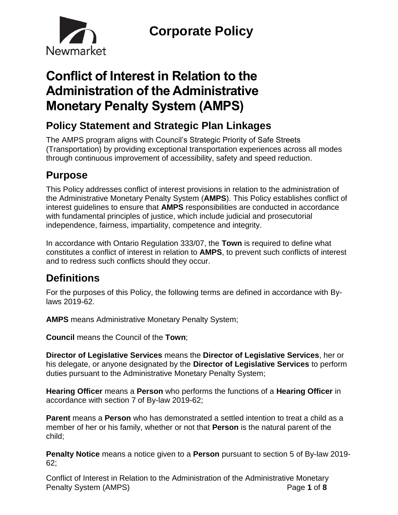

# **Conflict of Interest in Relation to the Administration of the Administrative Monetary Penalty System (AMPS)**

# **Policy Statement and Strategic Plan Linkages**

The AMPS program aligns with Council's Strategic Priority of Safe Streets (Transportation) by providing exceptional transportation experiences across all modes through continuous improvement of accessibility, safety and speed reduction.

# **Purpose**

This Policy addresses conflict of interest provisions in relation to the administration of the Administrative Monetary Penalty System (**AMPS**). This Policy establishes conflict of interest guidelines to ensure that **AMPS** responsibilities are conducted in accordance with fundamental principles of justice, which include judicial and prosecutorial independence, fairness, impartiality, competence and integrity.

In accordance with Ontario Regulation 333/07, the **Town** is required to define what constitutes a conflict of interest in relation to **AMPS**, to prevent such conflicts of interest and to redress such conflicts should they occur.

# **Definitions**

For the purposes of this Policy, the following terms are defined in accordance with Bylaws 2019-62.

**AMPS** means Administrative Monetary Penalty System;

**Council** means the Council of the **Town**;

**Director of Legislative Services** means the **Director of Legislative Services**, her or his delegate, or anyone designated by the **Director of Legislative Services** to perform duties pursuant to the Administrative Monetary Penalty System;

**Hearing Officer** means a **Person** who performs the functions of a **Hearing Officer** in accordance with section 7 of By-law 2019-62;

**Parent** means a **Person** who has demonstrated a settled intention to treat a child as a member of her or his family, whether or not that **Person** is the natural parent of the child;

**Penalty Notice** means a notice given to a **Person** pursuant to section 5 of By-law 2019- 62;

Conflict of Interest in Relation to the Administration of the Administrative Monetary Penalty System (AMPS) **Page 1** of 8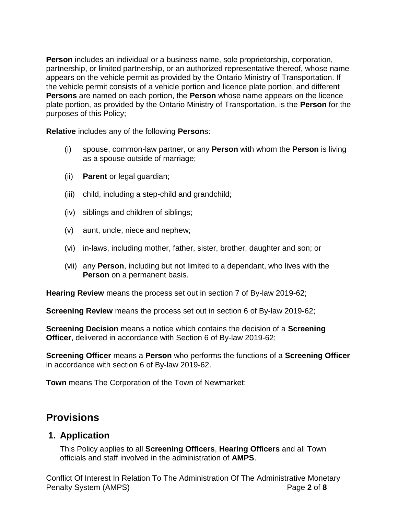**Person** includes an individual or a business name, sole proprietorship, corporation, partnership, or limited partnership, or an authorized representative thereof, whose name appears on the vehicle permit as provided by the Ontario Ministry of Transportation. If the vehicle permit consists of a vehicle portion and licence plate portion, and different **Persons** are named on each portion, the **Person** whose name appears on the licence plate portion, as provided by the Ontario Ministry of Transportation, is the **Person** for the purposes of this Policy;

**Relative** includes any of the following **Person**s:

- (i) spouse, common-law partner, or any **Person** with whom the **Person** is living as a spouse outside of marriage;
- (ii) **Parent** or legal guardian;
- (iii) child, including a step-child and grandchild;
- (iv) siblings and children of siblings;
- (v) aunt, uncle, niece and nephew;
- (vi) in-laws, including mother, father, sister, brother, daughter and son; or
- (vii) any **Person**, including but not limited to a dependant, who lives with the **Person** on a permanent basis.

**Hearing Review** means the process set out in section 7 of By-law 2019-62;

**Screening Review** means the process set out in section 6 of By-law 2019-62;

**Screening Decision** means a notice which contains the decision of a **Screening Officer**, delivered in accordance with Section 6 of By-law 2019-62;

**Screening Officer** means a **Person** who performs the functions of a **Screening Officer**  in accordance with section 6 of By-law 2019-62.

**Town** means The Corporation of the Town of Newmarket;

# **Provisions**

#### **1. Application**

This Policy applies to all **Screening Officers**, **Hearing Officers** and all Town officials and staff involved in the administration of **AMPS**.

Conflict Of Interest In Relation To The Administration Of The Administrative Monetary Penalty System (AMPS) Page **2** of **8**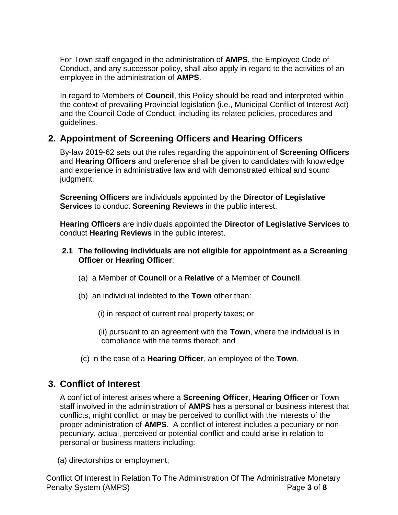For Town staff engaged in the administration of **AMPS**, the Employee Code of Conduct, and any successor policy, shall also apply in regard to the activities of an employee in the administration of **AMPS**.

In regard to Members of **Council**, this Policy should be read and interpreted within the context of prevailing Provincial legislation (i.e., Municipal Conflict of Interest Act) and the Council Code of Conduct, including its related policies, procedures and guidelines.

### **2. Appointment of Screening Officers and Hearing Officers**

By-law 2019-62 sets out the rules regarding the appointment of **Screening Officers** and **Hearing Officers** and preference shall be given to candidates with knowledge and experience in administrative law and with demonstrated ethical and sound judgment.

**Screening Officers** are individuals appointed by the **Director of Legislative Services** to conduct **Screening Reviews** in the public interest.

**Hearing Officers** are individuals appointed the **Director of Legislative Services** to conduct **Hearing Reviews** in the public interest.

#### **2.1 The following individuals are not eligible for appointment as a Screening Officer or Hearing Officer**:

- (a) a Member of **Council** or a **Relative** of a Member of **Council**.
- (b) an individual indebted to the **Town** other than:
	- (i) in respect of current real property taxes; or
	- (ii) pursuant to an agreement with the **Town**, where the individual is in compliance with the terms thereof; and
- (c) in the case of a **Hearing Officer**, an employee of the **Town**.

### **3. Conflict of Interest**

A conflict of interest arises where a **Screening Officer**, **Hearing Officer** or Town staff involved in the administration of **AMPS** has a personal or business interest that conflicts, might conflict, or may be perceived to conflict with the interests of the proper administration of **AMPS**. A conflict of interest includes a pecuniary or nonpecuniary, actual, perceived or potential conflict and could arise in relation to personal or business matters including:

(a) directorships or employment;

Conflict Of Interest In Relation To The Administration Of The Administrative Monetary Penalty System (AMPS) Page **3** of **8**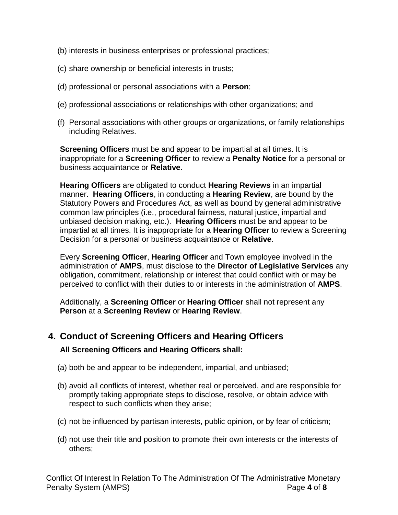- (b) interests in business enterprises or professional practices;
- (c) share ownership or beneficial interests in trusts;
- (d) professional or personal associations with a **Person**;
- (e) professional associations or relationships with other organizations; and
- (f) Personal associations with other groups or organizations, or family relationships including Relatives.

**Screening Officers** must be and appear to be impartial at all times. It is inappropriate for a **Screening Officer** to review a **Penalty Notice** for a personal or business acquaintance or **Relative**.

**Hearing Officers** are obligated to conduct **Hearing Reviews** in an impartial manner. **Hearing Officers**, in conducting a **Hearing Review**, are bound by the Statutory Powers and Procedures Act, as well as bound by general administrative common law principles (i.e., procedural fairness, natural justice, impartial and unbiased decision making, etc.). **Hearing Officers** must be and appear to be impartial at all times. It is inappropriate for a **Hearing Officer** to review a Screening Decision for a personal or business acquaintance or **Relative**.

Every **Screening Officer**, **Hearing Officer** and Town employee involved in the administration of **AMPS**, must disclose to the **Director of Legislative Services** any obligation, commitment, relationship or interest that could conflict with or may be perceived to conflict with their duties to or interests in the administration of **AMPS**.

Additionally, a **Screening Officer** or **Hearing Officer** shall not represent any **Person** at a **Screening Review** or **Hearing Review**.

## **4. Conduct of Screening Officers and Hearing Officers All Screening Officers and Hearing Officers shall:**

- (a) both be and appear to be independent, impartial, and unbiased;
- (b) avoid all conflicts of interest, whether real or perceived, and are responsible for promptly taking appropriate steps to disclose, resolve, or obtain advice with respect to such conflicts when they arise;
- (c) not be influenced by partisan interests, public opinion, or by fear of criticism;
- (d) not use their title and position to promote their own interests or the interests of others;

Conflict Of Interest In Relation To The Administration Of The Administrative Monetary Penalty System (AMPS) Page **4** of **8**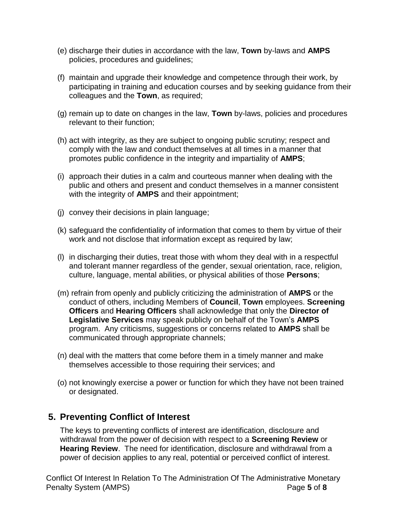- (e) discharge their duties in accordance with the law, **Town** by-laws and **AMPS** policies, procedures and guidelines;
- (f) maintain and upgrade their knowledge and competence through their work, by participating in training and education courses and by seeking guidance from their colleagues and the **Town**, as required;
- (g) remain up to date on changes in the law, **Town** by-laws, policies and procedures relevant to their function;
- (h) act with integrity, as they are subject to ongoing public scrutiny; respect and comply with the law and conduct themselves at all times in a manner that promotes public confidence in the integrity and impartiality of **AMPS**;
- (i) approach their duties in a calm and courteous manner when dealing with the public and others and present and conduct themselves in a manner consistent with the integrity of **AMPS** and their appointment;
- (j) convey their decisions in plain language;
- (k) safeguard the confidentiality of information that comes to them by virtue of their work and not disclose that information except as required by law;
- (l) in discharging their duties, treat those with whom they deal with in a respectful and tolerant manner regardless of the gender, sexual orientation, race, religion, culture, language, mental abilities, or physical abilities of those **Persons**;
- (m) refrain from openly and publicly criticizing the administration of **AMPS** or the conduct of others, including Members of **Council**, **Town** employees. **Screening Officers** and **Hearing Officers** shall acknowledge that only the **Director of Legislative Services** may speak publicly on behalf of the Town's **AMPS** program. Any criticisms, suggestions or concerns related to **AMPS** shall be communicated through appropriate channels;
- (n) deal with the matters that come before them in a timely manner and make themselves accessible to those requiring their services; and
- (o) not knowingly exercise a power or function for which they have not been trained or designated.

#### **5. Preventing Conflict of Interest**

The keys to preventing conflicts of interest are identification, disclosure and withdrawal from the power of decision with respect to a **Screening Review** or **Hearing Review**. The need for identification, disclosure and withdrawal from a power of decision applies to any real, potential or perceived conflict of interest.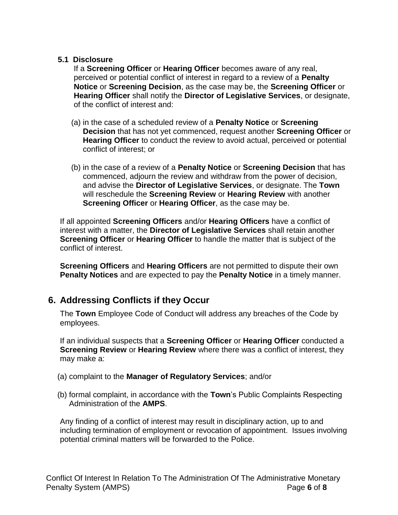#### **5.1 Disclosure**

If a **Screening Officer** or **Hearing Officer** becomes aware of any real, perceived or potential conflict of interest in regard to a review of a **Penalty Notice** or **Screening Decision**, as the case may be, the **Screening Officer** or **Hearing Officer** shall notify the **Director of Legislative Services**, or designate, of the conflict of interest and:

- (a) in the case of a scheduled review of a **Penalty Notice** or **Screening Decision** that has not yet commenced, request another **Screening Officer** or **Hearing Officer** to conduct the review to avoid actual, perceived or potential conflict of interest; or
- (b) in the case of a review of a **Penalty Notice** or **Screening Decision** that has commenced, adjourn the review and withdraw from the power of decision, and advise the **Director of Legislative Services**, or designate. The **Town** will reschedule the **Screening Review** or **Hearing Review** with another **Screening Officer** or **Hearing Officer**, as the case may be.

If all appointed **Screening Officers** and/or **Hearing Officers** have a conflict of interest with a matter, the **Director of Legislative Services** shall retain another **Screening Officer** or **Hearing Officer** to handle the matter that is subject of the conflict of interest.

**Screening Officers** and **Hearing Officers** are not permitted to dispute their own **Penalty Notices** and are expected to pay the **Penalty Notice** in a timely manner.

### **6. Addressing Conflicts if they Occur**

The **Town** Employee Code of Conduct will address any breaches of the Code by employees.

If an individual suspects that a **Screening Officer** or **Hearing Officer** conducted a **Screening Review** or **Hearing Review** where there was a conflict of interest, they may make a:

- (a) complaint to the **Manager of Regulatory Services**; and/or
- (b) formal complaint, in accordance with the **Town**'s Public Complaints Respecting Administration of the **AMPS**.

Any finding of a conflict of interest may result in disciplinary action, up to and including termination of employment or revocation of appointment. Issues involving potential criminal matters will be forwarded to the Police.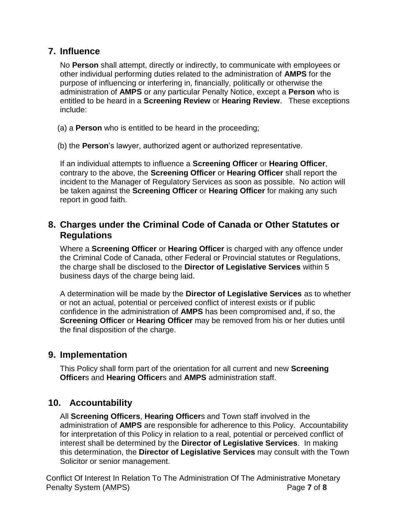### **7. Influence**

No **Person** shall attempt, directly or indirectly, to communicate with employees or other individual performing duties related to the administration of **AMPS** for the purpose of influencing or interfering in, financially, politically or otherwise the administration of **AMPS** or any particular Penalty Notice, except a **Person** who is entitled to be heard in a **Screening Review** or **Hearing Review**. These exceptions include:

(a) a **Person** who is entitled to be heard in the proceeding;

(b) the **Person**'s lawyer, authorized agent or authorized representative.

If an individual attempts to influence a **Screening Officer** or **Hearing Officer**, contrary to the above, the **Screening Officer** or **Hearing Officer** shall report the incident to the Manager of Regulatory Services as soon as possible. No action will be taken against the **Screening Officer** or **Hearing Officer** for making any such report in good faith.

### **8. Charges under the Criminal Code of Canada or Other Statutes or Regulations**

Where a **Screening Officer** or **Hearing Officer** is charged with any offence under the Criminal Code of Canada, other Federal or Provincial statutes or Regulations, the charge shall be disclosed to the **Director of Legislative Services** within 5 business days of the charge being laid.

A determination will be made by the **Director of Legislative Services** as to whether or not an actual, potential or perceived conflict of interest exists or if public confidence in the administration of **AMPS** has been compromised and, if so, the **Screening Officer** or **Hearing Officer** may be removed from his or her duties until the final disposition of the charge.

### **9. Implementation**

This Policy shall form part of the orientation for all current and new **Screening Officer**s and **Hearing Officer**s and **AMPS** administration staff.

### **10. Accountability**

All **Screening Officers**, **Hearing Officer**s and Town staff involved in the administration of **AMPS** are responsible for adherence to this Policy. Accountability for interpretation of this Policy in relation to a real, potential or perceived conflict of interest shall be determined by the **Director of Legislative Services**. In making this determination, the **Director of Legislative Services** may consult with the Town Solicitor or senior management.

Conflict Of Interest In Relation To The Administration Of The Administrative Monetary Penalty System (AMPS) Page **7** of **8**